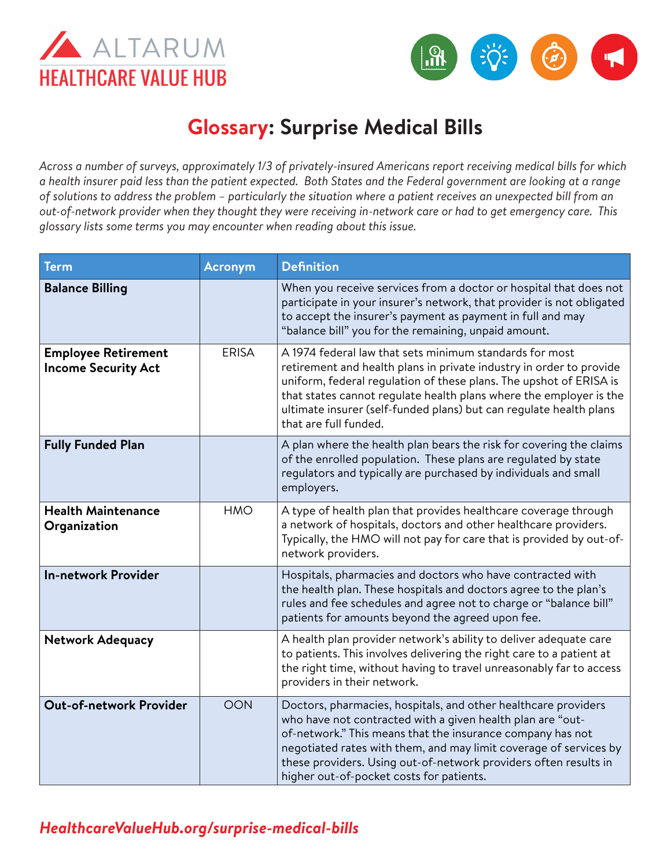



## **Glossary: Surprise Medical Bills**

*Across a number of surveys, approximately 1/3 of privately-insured Americans report receiving medical bills for which a health insurer paid less than the patient expected. Both States and the Federal government are looking at a range of solutions to address the problem – particularly the situation where a patient receives an unexpected bill from an out-of-network provider when they thought they were receiving in-network care or had to get emergency care. This glossary lists some terms you may encounter when reading about this issue.* 

| <b>Term</b>                                              | <b>Acronym</b> | <b>Definition</b>                                                                                                                                                                                                                                                                                                                                                               |
|----------------------------------------------------------|----------------|---------------------------------------------------------------------------------------------------------------------------------------------------------------------------------------------------------------------------------------------------------------------------------------------------------------------------------------------------------------------------------|
| <b>Balance Billing</b>                                   |                | When you receive services from a doctor or hospital that does not<br>participate in your insurer's network, that provider is not obligated<br>to accept the insurer's payment as payment in full and may<br>"balance bill" you for the remaining, unpaid amount.                                                                                                                |
| <b>Employee Retirement</b><br><b>Income Security Act</b> | <b>ERISA</b>   | A 1974 federal law that sets minimum standards for most<br>retirement and health plans in private industry in order to provide<br>uniform, federal regulation of these plans. The upshot of ERISA is<br>that states cannot regulate health plans where the employer is the<br>ultimate insurer (self-funded plans) but can regulate health plans<br>that are full funded.       |
| <b>Fully Funded Plan</b>                                 |                | A plan where the health plan bears the risk for covering the claims<br>of the enrolled population. These plans are regulated by state<br>regulators and typically are purchased by individuals and small<br>employers.                                                                                                                                                          |
| <b>Health Maintenance</b><br>Organization                | <b>HMO</b>     | A type of health plan that provides healthcare coverage through<br>a network of hospitals, doctors and other healthcare providers.<br>Typically, the HMO will not pay for care that is provided by out-of-<br>network providers.                                                                                                                                                |
| <b>In-network Provider</b>                               |                | Hospitals, pharmacies and doctors who have contracted with<br>the health plan. These hospitals and doctors agree to the plan's<br>rules and fee schedules and agree not to charge or "balance bill"<br>patients for amounts beyond the agreed upon fee.                                                                                                                         |
| <b>Network Adequacy</b>                                  |                | A health plan provider network's ability to deliver adequate care<br>to patients. This involves delivering the right care to a patient at<br>the right time, without having to travel unreasonably far to access<br>providers in their network.                                                                                                                                 |
| <b>Out-of-network Provider</b>                           | <b>OON</b>     | Doctors, pharmacies, hospitals, and other healthcare providers<br>who have not contracted with a given health plan are "out-<br>of-network." This means that the insurance company has not<br>negotiated rates with them, and may limit coverage of services by<br>these providers. Using out-of-network providers often results in<br>higher out-of-pocket costs for patients. |

## *[HealthcareValueHub.org/s](https://www.HealthcareValueHub.org/surprise-medical-bills)urprise-medical-bills*